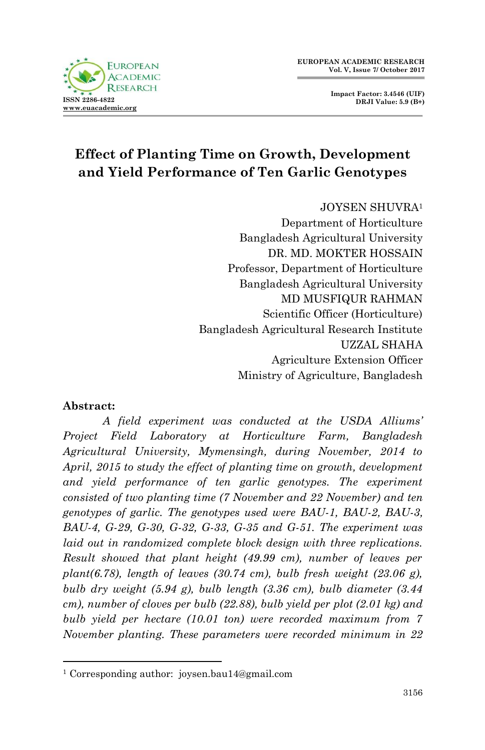**Impact Factor: 3.4546 (UIF) DRJI Value: 5.9 (B+)**



# **Effect of Planting Time on Growth, Development and Yield Performance of Ten Garlic Genotypes**

JOYSEN SHUVRA<sup>1</sup> Department of Horticulture Bangladesh Agricultural University DR. MD. MOKTER HOSSAIN Professor, Department of Horticulture Bangladesh Agricultural University MD MUSFIQUR RAHMAN Scientific Officer (Horticulture) Bangladesh Agricultural Research Institute UZZAL SHAHA Agriculture Extension Officer Ministry of Agriculture, Bangladesh

### **Abstract:**

1

*A field experiment was conducted at the USDA Alliums' Project Field Laboratory at Horticulture Farm, Bangladesh Agricultural University, Mymensingh, during November, 2014 to April, 2015 to study the effect of planting time on growth, development and yield performance of ten garlic genotypes. The experiment consisted of two planting time (7 November and 22 November) and ten genotypes of garlic. The genotypes used were BAU-1, BAU-2, BAU-3, BAU-4, G-29, G-30, G-32, G-33, G-35 and G-51. The experiment was laid out in randomized complete block design with three replications. Result showed that plant height (49.99 cm), number of leaves per plant(6.78), length of leaves (30.74 cm), bulb fresh weight (23.06 g), bulb dry weight (5.94 g), bulb length (3.36 cm), bulb diameter (3.44 cm), number of cloves per bulb (22.88), bulb yield per plot (2.01 kg) and bulb yield per hectare (10.01 ton) were recorded maximum from 7 November planting. These parameters were recorded minimum in 22* 

<sup>1</sup> Corresponding author: joysen.bau14@gmail.com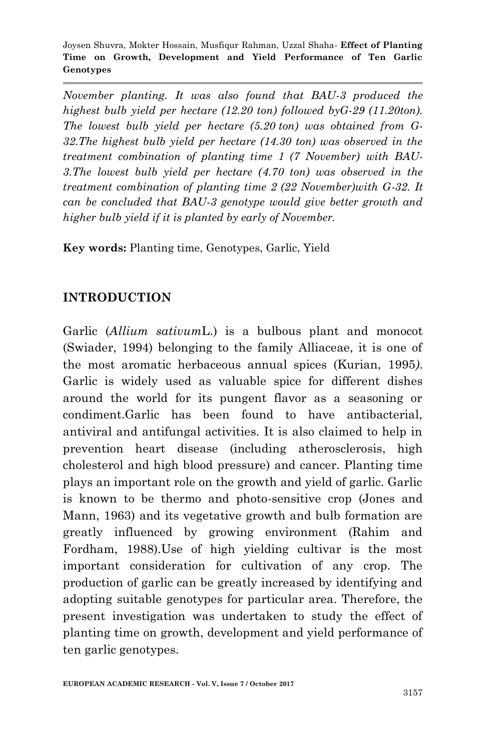*November planting. It was also found that BAU-3 produced the highest bulb yield per hectare (12.20 ton) followed byG-29 (11.20ton). The lowest bulb yield per hectare (5.20 ton) was obtained from G-32.The highest bulb yield per hectare (14.30 ton) was observed in the treatment combination of planting time 1 (7 November) with BAU-3.The lowest bulb yield per hectare (4.70 ton) was observed in the treatment combination of planting time 2 (22 November)with G-32. It can be concluded that BAU-3 genotype would give better growth and higher bulb yield if it is planted by early of November.*

**Key words:** Planting time, Genotypes, Garlic, Yield

## **INTRODUCTION**

Garlic (*Allium sativum*L.) is a bulbous plant and monocot (Swiader, 1994) belonging to the family Alliaceae, it is one of the most aromatic herbaceous annual spices (Kurian, 1995*)*. Garlic is widely used as valuable spice for different dishes around the world for its pungent flavor as a seasoning or condiment.Garlic has been found to have antibacterial, antiviral and antifungal activities. It is also claimed to help in prevention heart disease (including atherosclerosis, high cholesterol and high blood pressure) and cancer. Planting time plays an important role on the growth and yield of garlic. Garlic is known to be thermo and photo-sensitive crop (Jones and Mann, 1963) and its vegetative growth and bulb formation are greatly influenced by growing environment (Rahim and Fordham, 1988).Use of high yielding cultivar is the most important consideration for cultivation of any crop. The production of garlic can be greatly increased by identifying and adopting suitable genotypes for particular area. Therefore, the present investigation was undertaken to study the effect of planting time on growth, development and yield performance of ten garlic genotypes.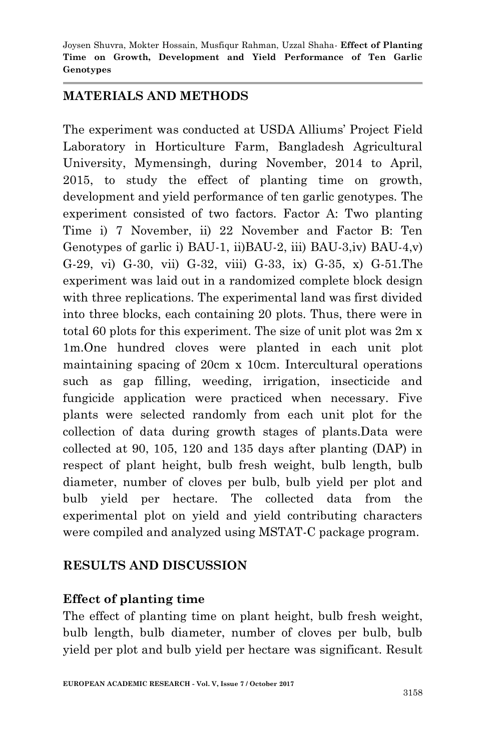### **MATERIALS AND METHODS**

The experiment was conducted at USDA Alliums' Project Field Laboratory in Horticulture Farm, Bangladesh Agricultural University, Mymensingh, during November, 2014 to April, 2015, to study the effect of planting time on growth, development and yield performance of ten garlic genotypes. The experiment consisted of two factors. Factor A: Two planting Time i) 7 November, ii) 22 November and Factor B: Ten Genotypes of garlic i) BAU-1, ii)BAU-2, iii) BAU-3,iv) BAU-4,v) G-29, vi) G-30, vii) G-32, viii) G-33, ix) G-35, x) G-51.The experiment was laid out in a randomized complete block design with three replications. The experimental land was first divided into three blocks, each containing 20 plots. Thus, there were in total 60 plots for this experiment. The size of unit plot was 2m x 1m.One hundred cloves were planted in each unit plot maintaining spacing of 20cm x 10cm. Intercultural operations such as gap filling, weeding, irrigation, insecticide and fungicide application were practiced when necessary. Five plants were selected randomly from each unit plot for the collection of data during growth stages of plants.Data were collected at 90, 105, 120 and 135 days after planting (DAP) in respect of plant height, bulb fresh weight, bulb length, bulb diameter, number of cloves per bulb, bulb yield per plot and bulb yield per hectare. The collected data from the experimental plot on yield and yield contributing characters were compiled and analyzed using MSTAT-C package program.

### **RESULTS AND DISCUSSION**

#### **Effect of planting time**

The effect of planting time on plant height, bulb fresh weight, bulb length, bulb diameter, number of cloves per bulb, bulb yield per plot and bulb yield per hectare was significant. Result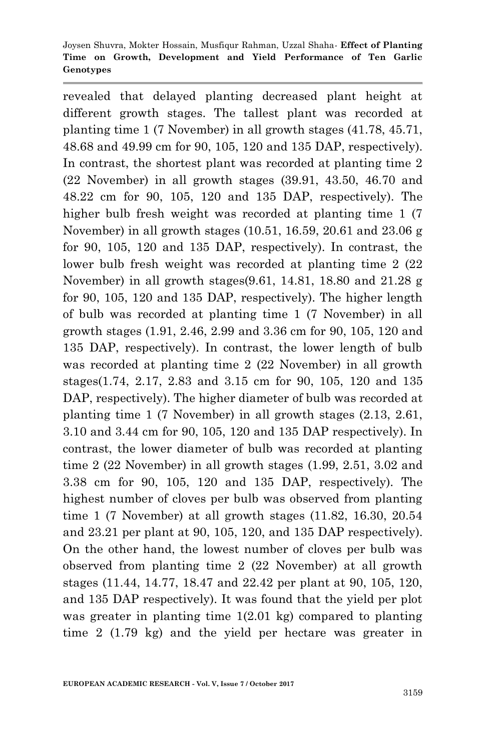revealed that delayed planting decreased plant height at different growth stages. The tallest plant was recorded at planting time 1 (7 November) in all growth stages (41.78, 45.71, 48.68 and 49.99 cm for 90, 105, 120 and 135 DAP, respectively). In contrast, the shortest plant was recorded at planting time 2 (22 November) in all growth stages (39.91, 43.50, 46.70 and 48.22 cm for 90, 105, 120 and 135 DAP, respectively). The higher bulb fresh weight was recorded at planting time 1 (7 November) in all growth stages (10.51, 16.59, 20.61 and 23.06 g for 90, 105, 120 and 135 DAP, respectively). In contrast, the lower bulb fresh weight was recorded at planting time 2 (22 November) in all growth stages(9.61, 14.81, 18.80 and 21.28 g for 90, 105, 120 and 135 DAP, respectively). The higher length of bulb was recorded at planting time 1 (7 November) in all growth stages (1.91, 2.46, 2.99 and 3.36 cm for 90, 105, 120 and 135 DAP, respectively). In contrast, the lower length of bulb was recorded at planting time 2 (22 November) in all growth stages(1.74, 2.17, 2.83 and 3.15 cm for 90, 105, 120 and 135 DAP, respectively). The higher diameter of bulb was recorded at planting time 1 (7 November) in all growth stages (2.13, 2.61, 3.10 and 3.44 cm for 90, 105, 120 and 135 DAP respectively). In contrast, the lower diameter of bulb was recorded at planting time 2 (22 November) in all growth stages (1.99, 2.51, 3.02 and 3.38 cm for 90, 105, 120 and 135 DAP, respectively). The highest number of cloves per bulb was observed from planting time 1 (7 November) at all growth stages (11.82, 16.30, 20.54 and 23.21 per plant at 90, 105, 120, and 135 DAP respectively). On the other hand, the lowest number of cloves per bulb was observed from planting time 2 (22 November) at all growth stages (11.44, 14.77, 18.47 and 22.42 per plant at 90, 105, 120, and 135 DAP respectively). It was found that the yield per plot was greater in planting time 1(2.01 kg) compared to planting time 2 (1.79 kg) and the yield per hectare was greater in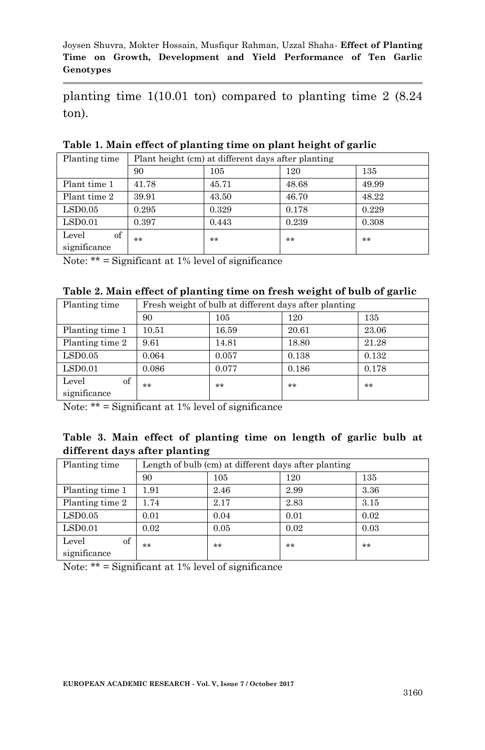planting time 1(10.01 ton) compared to planting time 2 (8.24 ton).

| Planting time |       | Plant height (cm) at different days after planting |       |       |  |  |  |
|---------------|-------|----------------------------------------------------|-------|-------|--|--|--|
|               | 90    | 105                                                | 120   | 135   |  |  |  |
| Plant time 1  | 41.78 | 45.71                                              | 48.68 | 49.99 |  |  |  |
| Plant time 2  | 39.91 | 43.50                                              | 46.70 | 48.22 |  |  |  |
| LSD0.05       | 0.295 | 0.329                                              | 0.178 | 0.229 |  |  |  |
| LSD0.01       | 0.397 | 0.443                                              | 0.239 | 0.308 |  |  |  |
| of<br>Level   | **    | **                                                 | **    | **    |  |  |  |
| significance  |       |                                                    |       |       |  |  |  |

**Table 1. Main effect of planting time on plant height of garlic**

Note: \*\* = Significant at 1% level of significance

| Table 2. Main effect of planting time on fresh weight of bulb of garlic |  |  |  |  |
|-------------------------------------------------------------------------|--|--|--|--|
|                                                                         |  |  |  |  |

| Planting time   | Fresh weight of bulb at different days after planting |       |       |       |  |  |
|-----------------|-------------------------------------------------------|-------|-------|-------|--|--|
|                 | 90                                                    | 105   | 120   | 135   |  |  |
| Planting time 1 | 10.51                                                 | 16.59 | 20.61 | 23.06 |  |  |
| Planting time 2 | 9.61                                                  | 14.81 | 18.80 | 21.28 |  |  |
| LSD0.05         | 0.064                                                 | 0.057 | 0.138 | 0.132 |  |  |
| LSD0.01         | 0.086                                                 | 0.077 | 0.186 | 0.178 |  |  |
| of<br>Level     | **                                                    | **    | **    | **    |  |  |
| significance    |                                                       |       |       |       |  |  |

Note: \*\* = Significant at 1% level of significance

|  |                               | Table 3. Main effect of planting time on length of garlic bulb at |  |  |  |  |
|--|-------------------------------|-------------------------------------------------------------------|--|--|--|--|
|  | different days after planting |                                                                   |  |  |  |  |

| Planting time               | Length of bulb (cm) at different days after planting |      |      |      |  |
|-----------------------------|------------------------------------------------------|------|------|------|--|
|                             | 90                                                   | 105  | 120  | 135  |  |
| Planting time 1             | 1.91                                                 | 2.46 | 2.99 | 3.36 |  |
| Planting time 2             | 1.74                                                 | 2.17 | 2.83 | 3.15 |  |
| LSD0.05                     | 0.01                                                 | 0.04 | 0.01 | 0.02 |  |
| LSD0.01                     | 0.02                                                 | 0.05 | 0.02 | 0.03 |  |
| of<br>Level<br>significance | **                                                   | **   | **   | **   |  |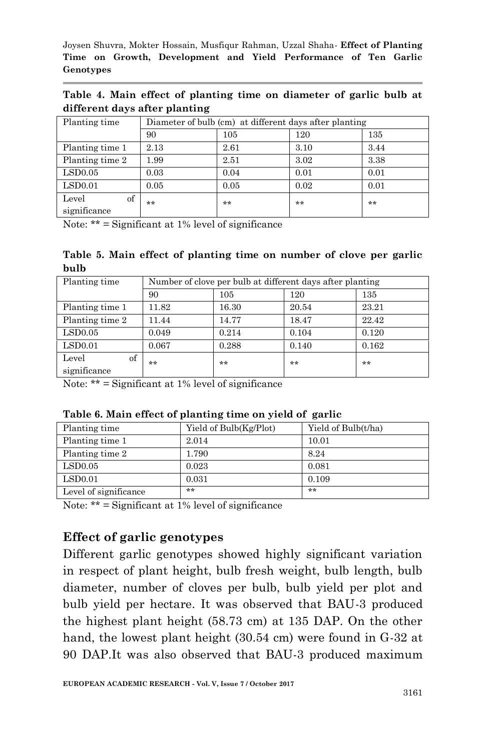**Table 4. Main effect of planting time on diameter of garlic bulb at different days after planting**

| Planting time   | Diameter of bulb (cm) at different days after planting |      |      |      |  |  |
|-----------------|--------------------------------------------------------|------|------|------|--|--|
|                 | 90                                                     | 105  | 120  | 135  |  |  |
| Planting time 1 | 2.13                                                   | 2.61 | 3.10 | 3.44 |  |  |
| Planting time 2 | 1.99                                                   | 2.51 | 3.02 | 3.38 |  |  |
| LSD0.05         | 0.03                                                   | 0.04 | 0.01 | 0.01 |  |  |
| LSD0.01         | 0.05                                                   | 0.05 | 0.02 | 0.01 |  |  |
| of<br>Level     | **                                                     | **   | **   | **   |  |  |
| significance    |                                                        |      |      |      |  |  |

Note:  $**$  = Significant at 1% level of significance

**Table 5. Main effect of planting time on number of clove per garlic bulb** 

| Planting time   | Number of clove per bulb at different days after planting |       |       |       |  |  |
|-----------------|-----------------------------------------------------------|-------|-------|-------|--|--|
|                 | 90                                                        | 105   | 120   | 135   |  |  |
| Planting time 1 | 11.82                                                     | 16.30 | 20.54 | 23.21 |  |  |
| Planting time 2 | 11.44                                                     | 14.77 | 18.47 | 22.42 |  |  |
| LSD0.05         | 0.049                                                     | 0.214 | 0.104 | 0.120 |  |  |
| LSD0.01         | 0.067                                                     | 0.288 | 0.140 | 0.162 |  |  |
| of<br>Level     | **                                                        | **    | $**$  | **    |  |  |
| significance    |                                                           |       |       |       |  |  |

Note: \*\* = Significant at 1% level of significance

| Planting time         | Yield of Bulb(Kg/Plot) | Yield of Bulb(t/ha) |
|-----------------------|------------------------|---------------------|
| Planting time 1       | 2.014                  | 10.01               |
| Planting time 2       | 1.790                  | 8.24                |
| LSD0.05               | 0.023                  | 0.081               |
| LSD0.01               | 0.031                  | 0.109               |
| Level of significance | $**$                   | **                  |

**Table 6. Main effect of planting time on yield of garlic**

Note:  $**$  = Significant at 1% level of significance

### **Effect of garlic genotypes**

Different garlic genotypes showed highly significant variation in respect of plant height, bulb fresh weight, bulb length, bulb diameter, number of cloves per bulb, bulb yield per plot and bulb yield per hectare. It was observed that BAU-3 produced the highest plant height (58.73 cm) at 135 DAP. On the other hand, the lowest plant height (30.54 cm) were found in G-32 at 90 DAP.It was also observed that BAU-3 produced maximum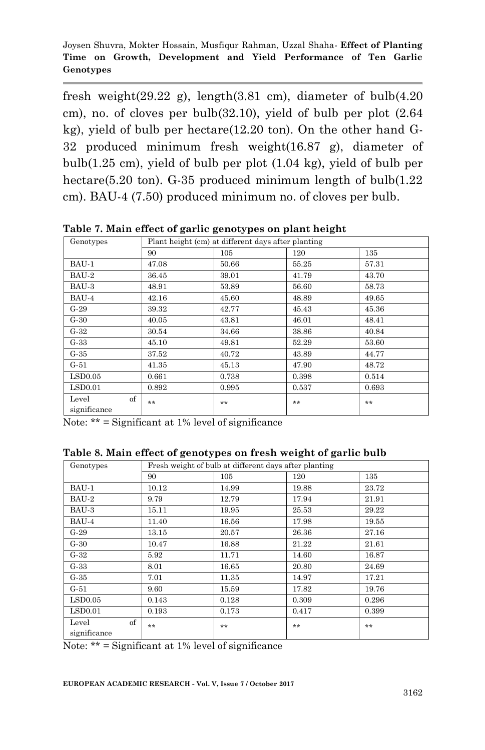fresh weight(29.22 g), length(3.81 cm), diameter of bulb(4.20 cm), no. of cloves per bulb $(32.10)$ , yield of bulb per plot  $(2.64)$ kg), yield of bulb per hectare(12.20 ton). On the other hand G-32 produced minimum fresh weight(16.87 g), diameter of bulb(1.25 cm), yield of bulb per plot (1.04 kg), yield of bulb per hectare(5.20 ton). G-35 produced minimum length of bulb(1.22 cm). BAU-4 (7.50) produced minimum no. of cloves per bulb.

| Genotypes                   | Plant height (cm) at different days after planting |       |       |       |  |  |  |
|-----------------------------|----------------------------------------------------|-------|-------|-------|--|--|--|
|                             | 90                                                 | 105   | 120   | 135   |  |  |  |
| BAU-1                       | 47.08                                              | 50.66 | 55.25 | 57.31 |  |  |  |
| BAU-2                       | 36.45                                              | 39.01 | 41.79 | 43.70 |  |  |  |
| BAU-3                       | 48.91                                              | 53.89 | 56.60 | 58.73 |  |  |  |
| BAU-4                       | 42.16                                              | 45.60 | 48.89 | 49.65 |  |  |  |
| $G-29$                      | 39.32                                              | 42.77 | 45.43 | 45.36 |  |  |  |
| $G-30$                      | 40.05                                              | 43.81 | 46.01 | 48.41 |  |  |  |
| $G-32$                      | 30.54                                              | 34.66 | 38.86 | 40.84 |  |  |  |
| $G-33$                      | 45.10                                              | 49.81 | 52.29 | 53.60 |  |  |  |
| $G-35$                      | 37.52                                              | 40.72 | 43.89 | 44.77 |  |  |  |
| $G-51$                      | 41.35                                              | 45.13 | 47.90 | 48.72 |  |  |  |
| LSD0.05                     | 0.661                                              | 0.738 | 0.398 | 0.514 |  |  |  |
| LSD0.01                     | 0.892                                              | 0.995 | 0.537 | 0.693 |  |  |  |
| of<br>Level<br>significance | $**$                                               | **    | **    | $**$  |  |  |  |

**Table 7. Main effect of garlic genotypes on plant height**

Note:  $**$  = Significant at 1% level of significance

|  | Table 8. Main effect of genotypes on fresh weight of garlic bulb |  |  |
|--|------------------------------------------------------------------|--|--|
|  |                                                                  |  |  |

| Genotypes                   | Fresh weight of bulb at different days after planting |       |       |       |  |  |
|-----------------------------|-------------------------------------------------------|-------|-------|-------|--|--|
|                             | 90                                                    | 105   | 120   | 135   |  |  |
| BAU-1                       | 10.12                                                 | 14.99 | 19.88 | 23.72 |  |  |
| BAU-2                       | 9.79                                                  | 12.79 | 17.94 | 21.91 |  |  |
| BAU-3                       | 15.11                                                 | 19.95 | 25.53 | 29.22 |  |  |
| BAU-4                       | 11.40                                                 | 16.56 | 17.98 | 19.55 |  |  |
| $G-29$                      | 13.15                                                 | 20.57 | 26.36 | 27.16 |  |  |
| $G-30$                      | 10.47                                                 | 16.88 | 21.22 | 21.61 |  |  |
| $G-32$                      | 5.92                                                  | 11.71 | 14.60 | 16.87 |  |  |
| $G-33$                      | 8.01                                                  | 16.65 | 20.80 | 24.69 |  |  |
| $G-35$                      | 7.01                                                  | 11.35 | 14.97 | 17.21 |  |  |
| $G-51$                      | 9.60                                                  | 15.59 | 17.82 | 19.76 |  |  |
| LSD0.05                     | 0.143                                                 | 0.128 | 0.309 | 0.296 |  |  |
| LSD0.01                     | 0.193                                                 | 0.173 | 0.417 | 0.399 |  |  |
| of<br>Level<br>significance | $**$                                                  | **    | **    | $**$  |  |  |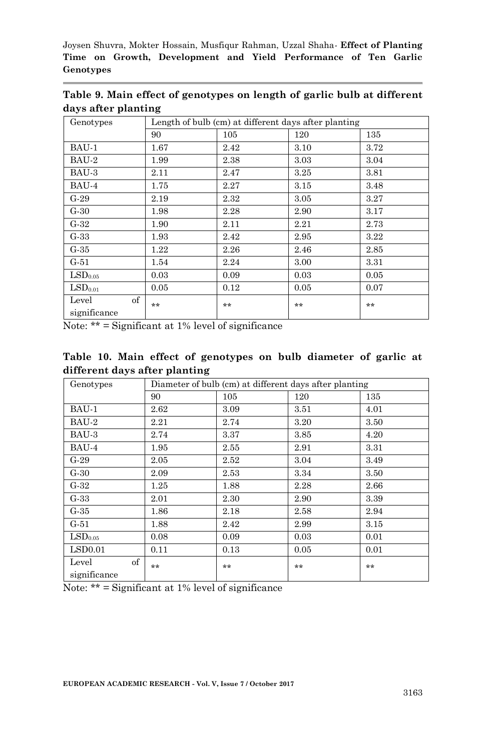| Genotypes                   | Length of bulb (cm) at different days after planting |      |      |       |  |  |
|-----------------------------|------------------------------------------------------|------|------|-------|--|--|
|                             | 90                                                   | 105  | 120  | 135   |  |  |
| BAU-1                       | 1.67                                                 | 2.42 | 3.10 | 3.72  |  |  |
| BAU-2                       | 1.99                                                 | 2.38 | 3.03 | 3.04  |  |  |
| BAU-3                       | 2.11                                                 | 2.47 | 3.25 | 3.81  |  |  |
| BAU-4                       | 1.75                                                 | 2.27 | 3.15 | 3.48  |  |  |
| $G-29$                      | 2.19                                                 | 2.32 | 3.05 | 3.27  |  |  |
| $G-30$                      | 1.98                                                 | 2.28 | 2.90 | 3.17  |  |  |
| $G-32$                      | 1.90                                                 | 2.11 | 2.21 | 2.73  |  |  |
| $G-33$                      | 1.93                                                 | 2.42 | 2.95 | 3.22  |  |  |
| $G-35$                      | 1.22                                                 | 2.26 | 2.46 | 2.85  |  |  |
| $G-51$                      | 1.54                                                 | 2.24 | 3.00 | 3.31  |  |  |
| LSD <sub>0.05</sub>         | 0.03                                                 | 0.09 | 0.03 | 0.05  |  |  |
| LSD <sub>0.01</sub>         | 0.05                                                 | 0.12 | 0.05 | 0.07  |  |  |
| of<br>Level<br>significance | **                                                   | **   | **   | $***$ |  |  |

**Table 9. Main effect of genotypes on length of garlic bulb at different days after planting**

Note: \*\* = Significant at 1% level of significance

|  |                               | Table 10. Main effect of genotypes on bulb diameter of garlic at |  |  |  |
|--|-------------------------------|------------------------------------------------------------------|--|--|--|
|  | different days after planting |                                                                  |  |  |  |

| Genotypes                   |      |      | Diameter of bulb (cm) at different days after planting |      |
|-----------------------------|------|------|--------------------------------------------------------|------|
|                             | 90   | 105  | 120                                                    | 135  |
| BAU-1                       | 2.62 | 3.09 | 3.51                                                   | 4.01 |
| BAU-2                       | 2.21 | 2.74 | 3.20                                                   | 3.50 |
| BAU-3                       | 2.74 | 3.37 | 3.85                                                   | 4.20 |
| BAU-4                       | 1.95 | 2.55 | 2.91                                                   | 3.31 |
| $G-29$                      | 2.05 | 2.52 | 3.04                                                   | 3.49 |
| $G-30$                      | 2.09 | 2.53 | 3.34                                                   | 3.50 |
| $G-32$                      | 1.25 | 1.88 | 2.28                                                   | 2.66 |
| $G-33$                      | 2.01 | 2.30 | 2.90                                                   | 3.39 |
| $G-35$                      | 1.86 | 2.18 | 2.58                                                   | 2.94 |
| $G-51$                      | 1.88 | 2.42 | 2.99                                                   | 3.15 |
| LSD <sub>0.05</sub>         | 0.08 | 0.09 | 0.03                                                   | 0.01 |
| LSD0.01                     | 0.11 | 0.13 | 0.05                                                   | 0.01 |
| of<br>Level<br>significance | **   | $**$ | **                                                     | **   |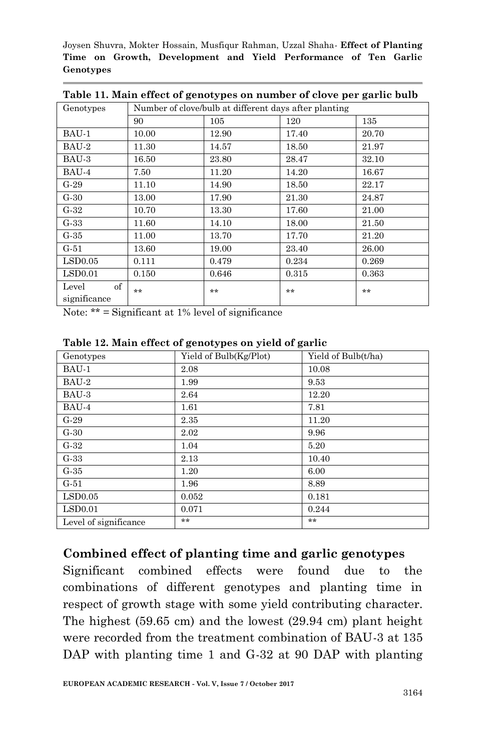| Genotypes                   | Number of clove/bulb at different days after planting |       |       |       |  |  |  |
|-----------------------------|-------------------------------------------------------|-------|-------|-------|--|--|--|
|                             | 90                                                    | 105   | 120   | 135   |  |  |  |
| BAU-1                       | 10.00                                                 | 12.90 | 17.40 | 20.70 |  |  |  |
| BAU-2                       | 11.30                                                 | 14.57 | 18.50 | 21.97 |  |  |  |
| BAU-3                       | 16.50                                                 | 23.80 | 28.47 | 32.10 |  |  |  |
| BAU-4                       | 7.50                                                  | 11.20 | 14.20 | 16.67 |  |  |  |
| $G-29$                      | 11.10                                                 | 14.90 | 18.50 | 22.17 |  |  |  |
| $G-30$                      | 13.00                                                 | 17.90 | 21.30 | 24.87 |  |  |  |
| $G-32$                      | 10.70                                                 | 13.30 | 17.60 | 21.00 |  |  |  |
| $G-33$                      | 11.60                                                 | 14.10 | 18.00 | 21.50 |  |  |  |
| $G-35$                      | 11.00                                                 | 13.70 | 17.70 | 21.20 |  |  |  |
| $G-51$                      | 13.60                                                 | 19.00 | 23.40 | 26.00 |  |  |  |
| LSD0.05                     | 0.111                                                 | 0.479 | 0.234 | 0.269 |  |  |  |
| LSD0.01                     | 0.150                                                 | 0.646 | 0.315 | 0.363 |  |  |  |
| of<br>Level<br>significance | $**$                                                  | **    | **    | **    |  |  |  |
|                             |                                                       |       |       |       |  |  |  |

**Table 11. Main effect of genotypes on number of clove per garlic bulb**

Note: \*\* = Significant at 1% level of significance

| Genotypes             | Yield of Bulb(Kg/Plot) | Yield of Bulb(t/ha) |
|-----------------------|------------------------|---------------------|
| BAU-1                 | 2.08                   | 10.08               |
| BAU-2                 | 1.99                   | 9.53                |
| BAU-3                 | 2.64                   | 12.20               |
| BAU-4                 | 1.61                   | 7.81                |
| $G-29$                | 2.35                   | 11.20               |
| $G-30$                | 2.02                   | 9.96                |
| $G-32$                | 1.04                   | 5.20                |
| $G-33$                | 2.13                   | 10.40               |
| $G-35$                | 1.20                   | 6.00                |
| $G-51$                | 1.96                   | 8.89                |
| LSD0.05               | 0.052                  | 0.181               |
| LSD0.01               | 0.071                  | 0.244               |
| Level of significance | $***$                  | **                  |

**Table 12. Main effect of genotypes on yield of garlic**

### **Combined effect of planting time and garlic genotypes**

Significant combined effects were found due to the combinations of different genotypes and planting time in respect of growth stage with some yield contributing character. The highest (59.65 cm) and the lowest (29.94 cm) plant height were recorded from the treatment combination of BAU-3 at 135 DAP with planting time 1 and G-32 at 90 DAP with planting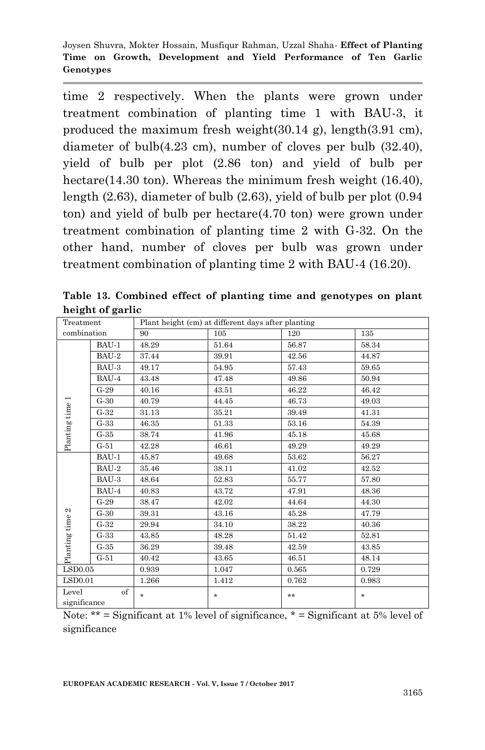time 2 respectively. When the plants were grown under treatment combination of planting time 1 with BAU-3, it produced the maximum fresh weight(30.14 g), length(3.91 cm), diameter of bulb(4.23 cm), number of cloves per bulb (32.40), yield of bulb per plot (2.86 ton) and yield of bulb per hectare(14.30 ton). Whereas the minimum fresh weight (16.40), length (2.63), diameter of bulb (2.63), yield of bulb per plot (0.94 ton) and yield of bulb per hectare(4.70 ton) were grown under treatment combination of planting time 2 with G-32. On the other hand, number of cloves per bulb was grown under treatment combination of planting time 2 with BAU-4 (16.20).

| Treatment             |        | Plant height (cm) at different days after planting |         |       |         |  |  |
|-----------------------|--------|----------------------------------------------------|---------|-------|---------|--|--|
| combination           |        | 90                                                 | 105     | 120   | 135     |  |  |
|                       | BAU-1  | 48.29                                              | 51.64   | 56.87 | 58.34   |  |  |
|                       | BAU-2  | 37.44                                              | 39.91   | 42.56 | 44.87   |  |  |
|                       | BAU-3  | 49.17                                              | 54.95   | 57.43 | 59.65   |  |  |
|                       | BAU-4  | 43.48                                              | 47.48   | 49.86 | 50.94   |  |  |
|                       | $G-29$ | 40.16                                              | 43.51   | 46.22 | 46.42   |  |  |
|                       | $G-30$ | 40.79                                              | 44.45   | 46.73 | 49.03   |  |  |
|                       | $G-32$ | 31.13                                              | 35.21   | 39.49 | 41.31   |  |  |
| Planting time 1       | $G-33$ | 46.35                                              | 51.33   | 53.16 | 54.39   |  |  |
|                       | $G-35$ | 38.74                                              | 41.96   | 45.18 | 45.68   |  |  |
|                       | $G-51$ | 42.28                                              | 46.61   | 49.29 | 49.29   |  |  |
|                       | BAU-1  | 45.87                                              | 49.68   | 53.62 | 56.27   |  |  |
|                       | BAU-2  | 35.46                                              | 38.11   | 41.02 | 42.52   |  |  |
|                       | BAU-3  | 48.64                                              | 52.83   | 55.77 | 57.80   |  |  |
|                       | BAU-4  | 40.83                                              | 43.72   | 47.91 | 48.36   |  |  |
|                       | $G-29$ | 38.47                                              | 42.02   | 44.64 | 44.30   |  |  |
| Planting time 2       | $G-30$ | 39.31                                              | 43.16   | 45.28 | 47.79   |  |  |
|                       | $G-32$ | 29.94                                              | 34.10   | 38.22 | 40.36   |  |  |
|                       | $G-33$ | 43.85                                              | 48.28   | 51.42 | 52.81   |  |  |
|                       | $G-35$ | 36.29                                              | 39.48   | 42.59 | 43.85   |  |  |
|                       | $G-51$ | 40.42                                              | 43.65   | 46.51 | 48.14   |  |  |
| LSD0.05               |        | 0.939                                              | 1.047   | 0.565 | 0.729   |  |  |
| LSD0.01               |        | 1.266                                              | 1.412   | 0.762 | 0.983   |  |  |
| Level<br>significance | of     | $\star$                                            | $\star$ | $**$  | $\star$ |  |  |

**Table 13. Combined effect of planting time and genotypes on plant height of garlic**

Note:  $**$  = Significant at 1% level of significance,  $*$  = Significant at 5% level of significance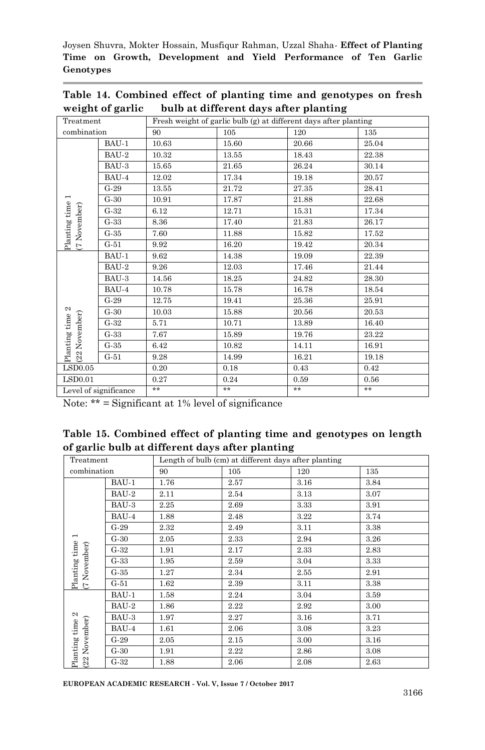|                  | Table 14. Combined effect of planting time and genotypes on fresh |  |
|------------------|-------------------------------------------------------------------|--|
| weight of garlic | bulb at different days after planting                             |  |

| Treatment                       |                       | Fresh weight of garlic bulb (g) at different days after planting |       |       |       |  |  |
|---------------------------------|-----------------------|------------------------------------------------------------------|-------|-------|-------|--|--|
| combination                     |                       | 90                                                               | 105   | 120   | 135   |  |  |
|                                 | BAU-1                 | 10.63                                                            | 15.60 | 20.66 | 25.04 |  |  |
|                                 | BAU-2                 | 10.32                                                            | 13.55 | 18.43 | 22.38 |  |  |
|                                 | BAU-3                 | 15.65                                                            | 21.65 | 26.24 | 30.14 |  |  |
|                                 | BAU-4                 | 12.02                                                            | 17.34 | 19.18 | 20.57 |  |  |
|                                 | $G-29$                | 13.55                                                            | 21.72 | 27.35 | 28.41 |  |  |
|                                 | $G-30$                | 10.91                                                            | 17.87 | 21.88 | 22.68 |  |  |
|                                 | $G-32$                | 6.12                                                             | 12.71 | 15.31 | 17.34 |  |  |
|                                 | $G-33$                | 8.36                                                             | 17.40 | 21.83 | 26.17 |  |  |
| Planting time 1<br>(7 November) | $G-35$                | 7.60                                                             | 11.88 | 15.82 | 17.52 |  |  |
|                                 | $G-51$                | 9.92                                                             | 16.20 | 19.42 | 20.34 |  |  |
|                                 | BAU-1                 | 9.62                                                             | 14.38 | 19.09 | 22.39 |  |  |
|                                 | BAU-2                 | 9.26                                                             | 12.03 | 17.46 | 21.44 |  |  |
|                                 | BAU-3                 | 14.56                                                            | 18.25 | 24.82 | 28.30 |  |  |
|                                 | BAU-4                 | 10.78                                                            | 15.78 | 16.78 | 18.54 |  |  |
|                                 | $G-29$                | 12.75                                                            | 19.41 | 25.36 | 25.91 |  |  |
|                                 | $G-30$                | 10.03                                                            | 15.88 | 20.56 | 20.53 |  |  |
| Planting time 2<br>November)    | $G-32$                | 5.71                                                             | 10.71 | 13.89 | 16.40 |  |  |
|                                 | $G-33$                | 7.67                                                             | 15.89 | 19.76 | 23.22 |  |  |
|                                 | $G-35$                | 6.42                                                             | 10.82 | 14.11 | 16.91 |  |  |
| 22                              | $G-51$                | 9.28                                                             | 14.99 | 16.21 | 19.18 |  |  |
| LSD0.05                         |                       | 0.20                                                             | 0.18  | 0.43  | 0.42  |  |  |
| LSD0.01                         |                       | 0.27                                                             | 0.24  | 0.59  | 0.56  |  |  |
|                                 | Level of significance | $**$                                                             | $***$ | $***$ | $***$ |  |  |

| Table 15. Combined effect of planting time and genotypes on length |  |
|--------------------------------------------------------------------|--|
| of garlic bulb at different days after planting                    |  |

| Treatment                     |        | Length of bulb (cm) at different days after planting |      |      |      |  |  |
|-------------------------------|--------|------------------------------------------------------|------|------|------|--|--|
| combination                   |        | 90                                                   | 105  | 120  | 135  |  |  |
|                               | BAU-1  | 1.76                                                 | 2.57 | 3.16 | 3.84 |  |  |
|                               | BAU-2  | 2.11                                                 | 2.54 | 3.13 | 3.07 |  |  |
|                               | BAU-3  | 2.25                                                 | 2.69 | 3.33 | 3.91 |  |  |
|                               | BAU-4  | 1.88                                                 | 2.48 | 3.22 | 3.74 |  |  |
|                               | $G-29$ | 2.32                                                 | 2.49 | 3.11 | 3.38 |  |  |
| $\overline{ }$                | $G-30$ | 2.05                                                 | 2.33 | 2.94 | 3.26 |  |  |
| Planting time<br>(7 November) | $G-32$ | 1.91                                                 | 2.17 | 2.33 | 2.83 |  |  |
|                               | $G-33$ | 1.95                                                 | 2.59 | 3.04 | 3.33 |  |  |
|                               | $G-35$ | 1.27                                                 | 2.34 | 2.55 | 2.91 |  |  |
|                               | $G-51$ | 1.62                                                 | 2.39 | 3.11 | 3.38 |  |  |
|                               | BAU-1  | 1.58                                                 | 2.24 | 3.04 | 3.59 |  |  |
|                               | BAU-2  | 1.86                                                 | 2.22 | 2.92 | 3.00 |  |  |
|                               | BAU-3  | 1.97                                                 | 2.27 | 3.16 | 3.71 |  |  |
|                               | BAU-4  | 1.61                                                 | 2.06 | 3.08 | 3.23 |  |  |
| Planting time 2<br>November)  | $G-29$ | 2.05                                                 | 2.15 | 3.00 | 3.16 |  |  |
|                               | $G-30$ | 1.91                                                 | 2.22 | 2.86 | 3.08 |  |  |
| (22)                          | $G-32$ | 1.88                                                 | 2.06 | 2.08 | 2.63 |  |  |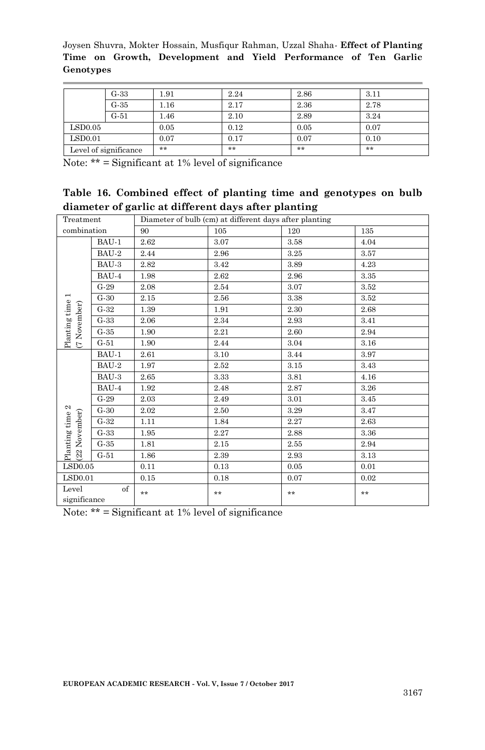|                       | $G-33$ | 1.91 | 2.24 | 2.86 | 3.11 |
|-----------------------|--------|------|------|------|------|
|                       | $G-35$ | 1.16 | 2.17 | 2.36 | 2.78 |
|                       | $G-51$ | 1.46 | 2.10 | 2.89 | 3.24 |
| LSD0.05               |        | 0.05 | 0.12 | 0.05 | 0.07 |
| LSD0.01               |        | 0.07 | 0.17 | 0.07 | 0.10 |
| Level of significance |        | **   | **   | **   | **   |

Note:  $**$  = Significant at 1% level of significance

|  |                                                     |  |  | Table 16. Combined effect of planting time and genotypes on bulb |  |
|--|-----------------------------------------------------|--|--|------------------------------------------------------------------|--|
|  | diameter of garlic at different days after planting |  |  |                                                                  |  |

| Treatment                        |        |      | Diameter of bulb (cm) at different days after planting |       |      |
|----------------------------------|--------|------|--------------------------------------------------------|-------|------|
| combination                      |        | 90   | 105                                                    | 120   | 135  |
|                                  | BAU-1  | 2.62 | 3.07                                                   | 3.58  | 4.04 |
|                                  | BAU-2  | 2.44 | 2.96                                                   | 3.25  | 3.57 |
|                                  | BAU-3  | 2.82 | 3.42                                                   | 3.89  | 4.23 |
|                                  | BAU-4  | 1.98 | 2.62                                                   | 2.96  | 3.35 |
|                                  | $G-29$ | 2.08 | 2.54                                                   | 3.07  | 3.52 |
| $\overline{\phantom{a}}$         | $G-30$ | 2.15 | 2.56                                                   | 3.38  | 3.52 |
|                                  | $G-32$ | 1.39 | 1.91                                                   | 2.30  | 2.68 |
| Planting time<br>(7 November)    | $G-33$ | 2.06 | 2.34                                                   | 2.93  | 3.41 |
|                                  | $G-35$ | 1.90 | 2.21                                                   | 2.60  | 2.94 |
|                                  | $G-51$ | 1.90 | 2.44                                                   | 3.04  | 3.16 |
|                                  | BAU-1  | 2.61 | 3.10                                                   | 3.44  | 3.97 |
|                                  | BAU-2  | 1.97 | 2.52                                                   | 3.15  | 3.43 |
|                                  | BAU-3  | 2.65 | 3.33                                                   | 3.81  | 4.16 |
|                                  | BAU-4  | 1.92 | 2.48                                                   | 2.87  | 3.26 |
|                                  | $G-29$ | 2.03 | 2.49                                                   | 3.01  | 3.45 |
| Planting time 2<br>(22 November) | $G-30$ | 2.02 | 2.50                                                   | 3.29  | 3.47 |
|                                  | $G-32$ | 1.11 | 1.84                                                   | 2.27  | 2.63 |
|                                  | $G-33$ | 1.95 | 2.27                                                   | 2.88  | 3.36 |
|                                  | $G-35$ | 1.81 | 2.15                                                   | 2.55  | 2.94 |
|                                  | $G-51$ | 1.86 | 2.39                                                   | 2.93  | 3.13 |
| LSD0.05                          |        | 0.11 | 0.13                                                   | 0.05  | 0.01 |
| LSD0.01                          |        | 0.15 | 0.18                                                   | 0.07  | 0.02 |
| Level<br>significance            | of     | $**$ | $***$                                                  | $***$ | $**$ |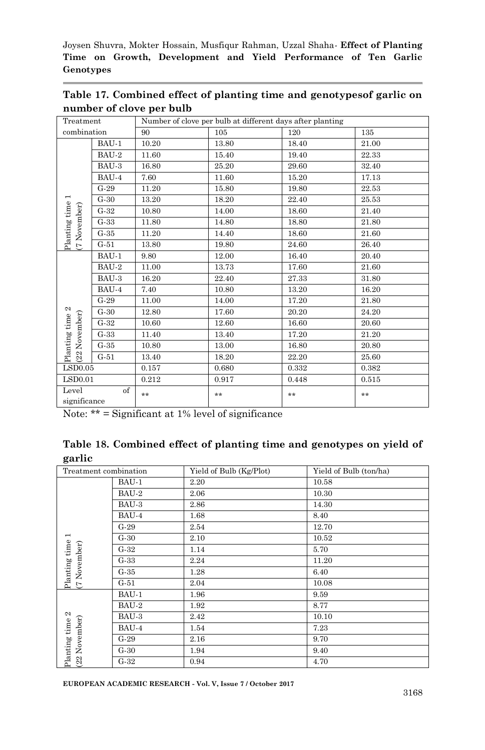| Treatment                            |         | Number of clove per bulb at different days after planting |       |       |       |  |
|--------------------------------------|---------|-----------------------------------------------------------|-------|-------|-------|--|
| combination                          |         | 90                                                        | 105   | 120   | 135   |  |
|                                      | BAU-1   | 10.20                                                     | 13.80 | 18.40 | 21.00 |  |
|                                      | BAU-2   | 11.60                                                     | 15.40 | 19.40 | 22.33 |  |
|                                      | BAU-3   | 16.80                                                     | 25.20 | 29.60 | 32.40 |  |
|                                      | BAU-4   | 7.60                                                      | 11.60 | 15.20 | 17.13 |  |
|                                      | $G-29$  | 11.20                                                     | 15.80 | 19.80 | 22.53 |  |
| Planting time 1<br>November)         | $G-30$  | 13.20                                                     | 18.20 | 22.40 | 25.53 |  |
|                                      | $G-32$  | 10.80                                                     | 14.00 | 18.60 | 21.40 |  |
|                                      | $G-33$  | 11.80                                                     | 14.80 | 18.80 | 21.80 |  |
|                                      | $G-35$  | 11.20                                                     | 14.40 | 18.60 | 21.60 |  |
| É                                    | $G-51$  | 13.80                                                     | 19.80 | 24.60 | 26.40 |  |
|                                      | BAU-1   | 9.80                                                      | 12.00 | 16.40 | 20.40 |  |
|                                      | $BAU-2$ | 11.00                                                     | 13.73 | 17.60 | 21.60 |  |
|                                      | BAU-3   | 16.20                                                     | 22.40 | 27.33 | 31.80 |  |
|                                      | BAU-4   | 7.40                                                      | 10.80 | 13.20 | 16.20 |  |
| Planting time 2<br>November)<br>(22) | $G-29$  | 11.00                                                     | 14.00 | 17.20 | 21.80 |  |
|                                      | $G-30$  | 12.80                                                     | 17.60 | 20.20 | 24.20 |  |
|                                      | $G-32$  | 10.60                                                     | 12.60 | 16.60 | 20.60 |  |
|                                      | $G-33$  | 11.40                                                     | 13.40 | 17.20 | 21.20 |  |
|                                      | $G-35$  | 10.80                                                     | 13.00 | 16.80 | 20.80 |  |
|                                      | $G-51$  | 13.40                                                     | 18.20 | 22.20 | 25.60 |  |
| LSD0.05                              |         | 0.157                                                     | 0.680 | 0.332 | 0.382 |  |
| LSD0.01                              |         | 0.212                                                     | 0.917 | 0.448 | 0.515 |  |
| Level<br>of<br>significance          |         | **                                                        | $**$  | **    | **    |  |

**Table 17. Combined effect of planting time and genotypesof garlic on number of clove per bulb**

Note: \*\* = Significant at 1% level of significance

|        |  |  | Table 18. Combined effect of planting time and genotypes on yield of |  |  |
|--------|--|--|----------------------------------------------------------------------|--|--|
| garlic |  |  |                                                                      |  |  |

| Treatment combination      |        | Yield of Bulb (Kg/Plot) | Yield of Bulb (ton/ha) |  |
|----------------------------|--------|-------------------------|------------------------|--|
|                            | BAU-1  | 2.20                    | 10.58                  |  |
|                            | BAU-2  | 2.06                    | 10.30                  |  |
|                            | BAU-3  | 2.86                    | 14.30                  |  |
|                            | BAU-4  | 1.68                    | 8.40                   |  |
|                            | $G-29$ | 2.54                    | 12.70                  |  |
| $\overline{\phantom{0}}$   | $G-30$ | 2.10                    | 10.52                  |  |
| Planting time<br>November) | $G-32$ | 1.14                    | 5.70                   |  |
|                            | $G-33$ | 2.24                    | 11.20                  |  |
|                            | $G-35$ | 1.28                    | 6.40                   |  |
| $\overline{C}$             | $G-51$ | 2.04                    | 10.08                  |  |
|                            | BAU-1  | 1.96                    | 9.59                   |  |
|                            | BAU-2  | 1.92                    | 8.77                   |  |
| 2                          | BAU-3  | 2.42                    | 10.10                  |  |
|                            | BAU-4  | 1.54                    | 7.23                   |  |
| November)                  | $G-29$ | 2.16                    | 9.70                   |  |
| Planting time<br>(22)      | $G-30$ | 1.94                    | 9.40                   |  |
|                            | $G-32$ | 0.94                    | 4.70                   |  |

**EUROPEAN ACADEMIC RESEARCH - Vol. V, Issue 7 / October 2017**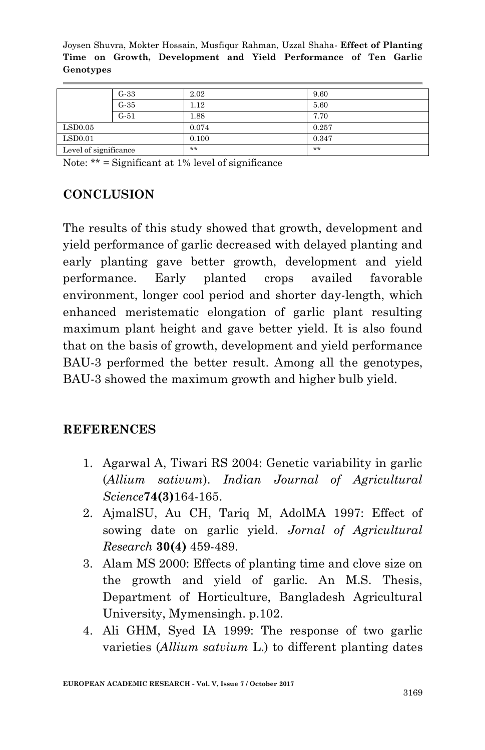|                       | $G-33$ | 2.02  | 9.60  |
|-----------------------|--------|-------|-------|
|                       | $G-35$ | 1.12  | 5.60  |
|                       | $G-51$ | 1.88  | 7.70  |
| $\mathrm{LSD}0.05$    |        | 0.074 | 0.257 |
| LSD0.01               |        | 0.100 | 0.347 |
| Level of significance |        | **    | **    |

Note:  $**$  = Significant at 1% level of significance

# **CONCLUSION**

The results of this study showed that growth, development and yield performance of garlic decreased with delayed planting and early planting gave better growth, development and yield performance. Early planted crops availed favorable environment, longer cool period and shorter day-length, which enhanced meristematic elongation of garlic plant resulting maximum plant height and gave better yield. It is also found that on the basis of growth, development and yield performance BAU-3 performed the better result. Among all the genotypes, BAU-3 showed the maximum growth and higher bulb yield.

### **REFERENCES**

- 1. Agarwal A, Tiwari RS 2004: Genetic variability in garlic (*Allium sativum*). *Indian Journal of Agricultural Science***74(3)**164-165.
- 2. AjmalSU, Au CH, Tariq M, AdolMA 1997: Effect of sowing date on garlic yield. *Jornal of Agricultural Research* **30(4)** 459-489.
- 3. Alam MS 2000: Effects of planting time and clove size on the growth and yield of garlic. An M.S. Thesis, Department of Horticulture, Bangladesh Agricultural University, Mymensingh. p.102.
- 4. Ali GHM, Syed IA 1999: The response of two garlic varieties (*Allium satvium* L.) to different planting dates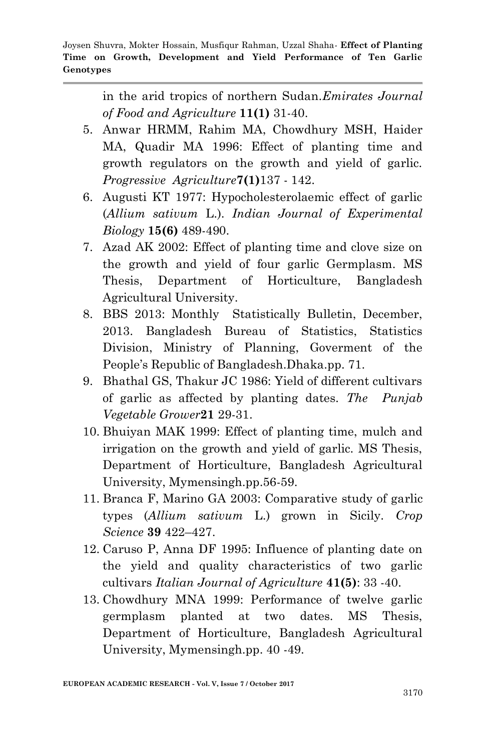in the arid tropics of northern Sudan.*Emirates Journal of Food and Agriculture* **11(1)** 31-40.

- 5. Anwar HRMM, Rahim MA, Chowdhury MSH, Haider MA, Quadir MA 1996: Effect of planting time and growth regulators on the growth and yield of garlic. *Progressive Agriculture***7(1)**137 - 142.
- 6. Augusti KT 1977: Hypocholesterolaemic effect of garlic (*Allium sativum* L.). *Indian Journal of Experimental Biology* **15(6)** 489-490.
- 7. Azad AK 2002: Effect of planting time and clove size on the growth and yield of four garlic Germplasm. MS Thesis, Department of Horticulture, Bangladesh Agricultural University.
- 8. BBS 2013: Monthly Statistically Bulletin, December, 2013. Bangladesh Bureau of Statistics, Statistics Division, Ministry of Planning, Goverment of the People's Republic of Bangladesh.Dhaka.pp. 71.
- 9. Bhathal GS, Thakur JC 1986: Yield of different cultivars of garlic as affected by planting dates*. The Punjab Vegetable Grower***21** 29-31.
- 10. Bhuiyan MAK 1999: Effect of planting time, mulch and irrigation on the growth and yield of garlic. MS Thesis, Department of Horticulture, Bangladesh Agricultural University, Mymensingh.pp.56-59.
- 11. Branca F, Marino GA 2003: Comparative study of garlic types (*Allium sativum* L.) grown in Sicily. *Crop Science* **39** 422–427.
- 12. Caruso P, Anna DF 1995: Influence of planting date on the yield and quality characteristics of two garlic cultivars *Italian Journal of Agriculture* **41(5)**: 33 -40.
- 13. Chowdhury MNA 1999: Performance of twelve garlic germplasm planted at two dates. MS Thesis, Department of Horticulture, Bangladesh Agricultural University, Mymensingh.pp. 40 -49.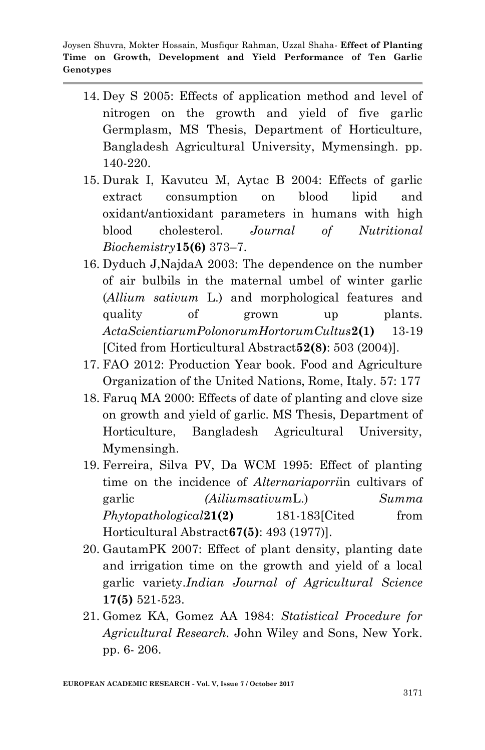- 14. Dey S 2005: Effects of application method and level of nitrogen on the growth and yield of five garlic Germplasm, MS Thesis, Department of Horticulture, Bangladesh Agricultural University, Mymensingh. pp. 140-220.
- 15. Durak I, Kavutcu M, Aytac B 2004: Effects of garlic extract consumption on blood lipid and oxidant/antioxidant parameters in humans with high blood cholesterol. *Journal of Nutritional Biochemistry***15(6)** 373–7.
- 16. Dyduch J,NajdaA 2003: The dependence on the number of air bulbils in the maternal umbel of winter garlic (*Allium sativum* L.) and morphological features and quality of grown up plants. *ActaScientiarumPolonorumHortorumCultus***2(1)** 13-19 [Cited from Horticultural Abstract**52(8)**: 503 (2004)].
- 17. FAO 2012: Production Year book. Food and Agriculture Organization of the United Nations, Rome, Italy. 57: 177
- 18. Faruq MA 2000: Effects of date of planting and clove size on growth and yield of garlic. MS Thesis, Department of Horticulture, Bangladesh Agricultural University, Mymensingh.
- 19. Ferreira, Silva PV, Da WCM 1995: Effect of planting time on the incidence of *Alternariaporri*in cultivars of garlic *(Ailiumsativum*L.) *Summa Phytopathological***21(2)** 181-183[Cited from Horticultural Abstract**67(5)**: 493 (1977)].
- 20. GautamPK 2007: Effect of plant density, planting date and irrigation time on the growth and yield of a local garlic variety.*Indian Journal of Agricultural Science*  **17(5)** 521-523.
- 21. Gomez KA, Gomez AA 1984: *Statistical Procedure for Agricultural Research.* John Wiley and Sons, New York. pp. 6- 206.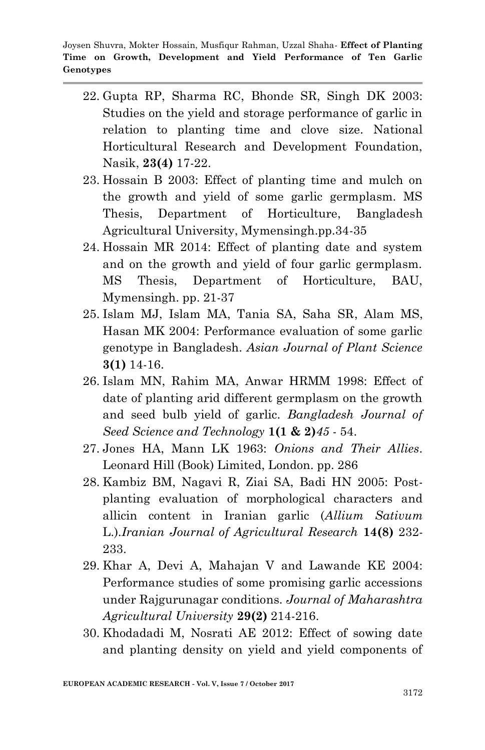- 22. Gupta RP, Sharma RC, Bhonde SR, Singh DK 2003: Studies on the yield and storage performance of garlic in relation to planting time and clove size. National Horticultural Research and Development Foundation, Nasik, **23(4)** 17-22.
- 23. Hossain B 2003: Effect of planting time and mulch on the growth and yield of some garlic germplasm. MS Thesis, Department of Horticulture, Bangladesh Agricultural University, Mymensingh.pp.34-35
- 24. Hossain MR 2014: Effect of planting date and system and on the growth and yield of four garlic germplasm. MS Thesis, Department of Horticulture, BAU, Mymensingh. pp. 21-37
- 25. Islam MJ, Islam MA, Tania SA, Saha SR, Alam MS, Hasan MK 2004: Performance evaluation of some garlic genotype in Bangladesh. *Asian Journal of Plant Science*  **3(1)** 14-16.
- 26. Islam MN, Rahim MA, Anwar HRMM 1998: Effect of date of planting arid different germplasm on the growth and seed bulb yield of garlic. *Bangladesh Journal of Seed Science and Technology* **1(1 & 2)***45* - 54.
- 27. Jones HA, Mann LK 1963: *Onions and Their Allies*. Leonard Hill (Book) Limited, London. pp. 286
- 28. Kambiz BM, Nagavi R, Ziai SA, Badi HN 2005: Postplanting evaluation of morphological characters and allicin content in Iranian garlic (*Allium Sativum* L.).*Iranian Journal of Agricultural Research* **14(8)** 232- 233.
- 29. Khar A, Devi A, Mahajan V and Lawande KE 2004: Performance studies of some promising garlic accessions under Rajgurunagar conditions. *Journal of Maharashtra Agricultural University* **29(2)** 214-216.
- 30. Khodadadi M, Nosrati AE 2012: Effect of sowing date and planting density on yield and yield components of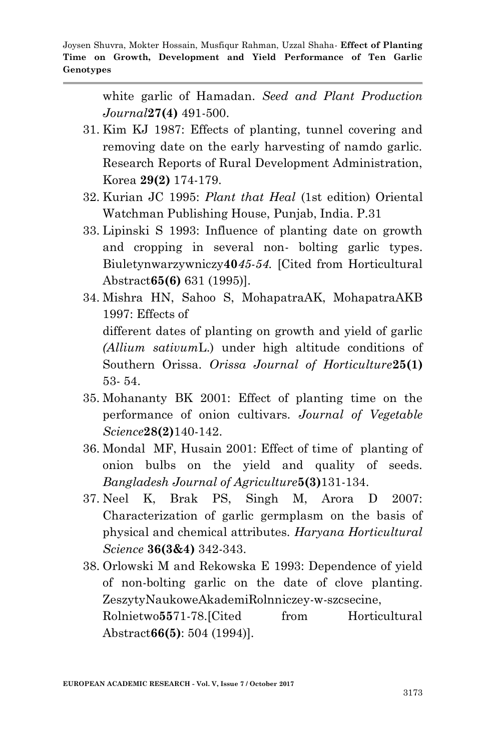white garlic of Hamadan. *Seed and Plant Production Journal***27(4)** 491-500.

- 31. Kim KJ 1987: Effects of planting, tunnel covering and removing date on the early harvesting of namdo garlic. Research Reports of Rural Development Administration, Korea **29(2)** 174-179.
- 32. Kurian JC 1995: *Plant that Heal* (1st edition) Oriental Watchman Publishing House, Punjab, India. P.31
- 33. Lipinski S 1993: Influence of planting date on growth and cropping in several non- bolting garlic types. Biuletynwarzywniczy**40***45-54.* [Cited from Horticultural Abstract**65(6)** 631 (1995)].
- 34. Mishra HN, Sahoo S, MohapatraAK, MohapatraAKB 1997: Effects of different dates of planting on growth and yield of garlic *(Allium sativum*L.) under high altitude conditions of Southern Orissa. *Orissa Journal of Horticulture***25(1)** 53- 54.
- 35. Mohananty BK 2001: Effect of planting time on the performance of onion cultivars. *Journal of Vegetable Science***28(2)**140-142.
- 36. Mondal MF, Husain 2001: Effect of time of planting of onion bulbs on the yield and quality of seeds. *Bangladesh Journal of Agriculture***5(3)**131-134.
- 37. Neel K, Brak PS, Singh M, Arora D 2007: Characterization of garlic germplasm on the basis of physical and chemical attributes. *Haryana Horticultural Science* **36(3&4)** 342-343.
- 38. Orlowski M and Rekowska E 1993: Dependence of yield of non-bolting garlic on the date of clove planting. ZeszytyNaukoweAkademiRolnniczey-w-szcsecine, Rolnietwo**55**71-78. [Cited from Horticultural Abstract**66(5)**: 504 (1994)].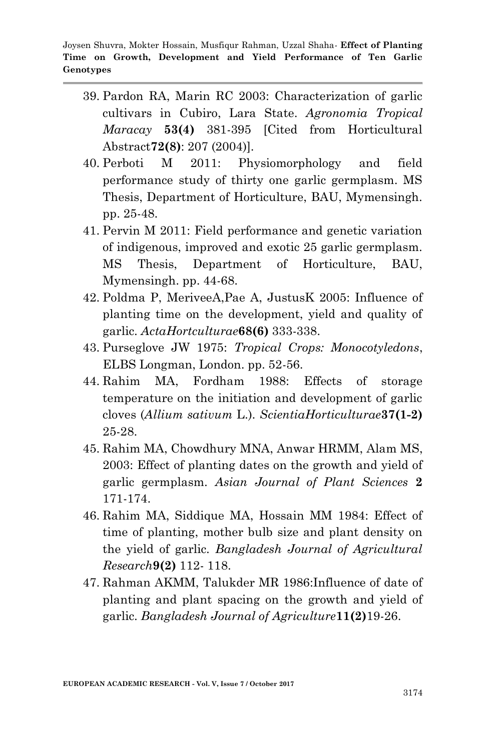- 39. Pardon RA, Marin RC 2003: Characterization of garlic cultivars in Cubiro, Lara State. *Agronomia Tropical Maracay* **53(4)** 381-395 [Cited from Horticultural Abstract**72(8)**: 207 (2004)].
- 40. Perboti M 2011: Physiomorphology and field performance study of thirty one garlic germplasm. MS Thesis, Department of Horticulture, BAU, Mymensingh. pp. 25-48.
- 41. Pervin M 2011: Field performance and genetic variation of indigenous, improved and exotic 25 garlic germplasm. MS Thesis, Department of Horticulture, BAU, Mymensingh. pp. 44-68.
- 42. Poldma P, MeriveeA,Pae A, JustusK 2005: Influence of planting time on the development, yield and quality of garlic. *ActaHortculturae***68(6)** 333-338.
- 43. Purseglove JW 1975: *Tropical Crops: Monocotyledons*, ELBS Longman, London. pp. 52-56.
- 44. Rahim MA, Fordham 1988: Effects of storage temperature on the initiation and development of garlic cloves (*Allium sativum* L.). *ScientiaHorticulturae***37(1-2)** 25-28.
- 45. Rahim MA, Chowdhury MNA, Anwar HRMM, Alam MS, 2003: Effect of planting dates on the growth and yield of garlic germplasm. *Asian Journal of Plant Sciences* **2** 171-174.
- 46. Rahim MA, Siddique MA, Hossain MM 1984: Effect of time of planting, mother bulb size and plant density on the yield of garlic. *Bangladesh Journal of Agricultural Research***9(2)** 112- 118.
- 47. Rahman AKMM, Talukder MR 1986:Influence of date of planting and plant spacing on the growth and yield of garlic. *Bangladesh Journal of Agriculture***11(2)**19-26.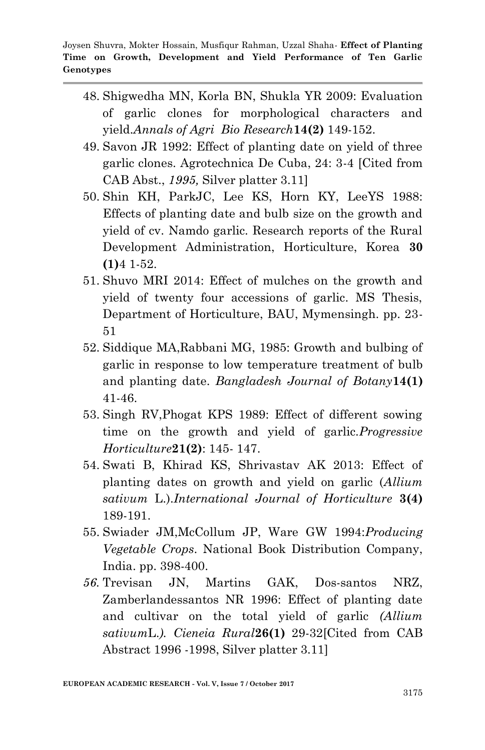- 48. Shigwedha MN, Korla BN, Shukla YR 2009: Evaluation of garlic clones for morphological characters and yield.*Annals of Agri Bio Research***14(2)** 149-152.
- 49. Savon JR 1992: Effect of planting date on yield of three garlic clones. Agrotechnica De Cuba, 24: 3-4 [Cited from CAB Abst., *1995,* Silver platter 3.11]
- 50. Shin KH, ParkJC, Lee KS, Horn KY, LeeYS 1988: Effects of planting date and bulb size on the growth and yield of cv. Namdo garlic. Research reports of the Rural Development Administration, Horticulture, Korea **30 (1)**4 1-52.
- 51. Shuvo MRI 2014: Effect of mulches on the growth and yield of twenty four accessions of garlic. MS Thesis, Department of Horticulture, BAU, Mymensingh. pp. 23- 51
- 52. Siddique MA,Rabbani MG, 1985: Growth and bulbing of garlic in response to low temperature treatment of bulb and planting date. *Bangladesh Journal of Botany***14(1)** 41-46.
- 53. Singh RV,Phogat KPS 1989: Effect of different sowing time on the growth and yield of garlic.*Progressive Horticulture***21(2)**: 145- 147.
- 54. Swati B, Khirad KS, Shrivastav AK 2013: Effect of planting dates on growth and yield on garlic (*Allium sativum* L.).*International Journal of Horticulture* **3(4)**  189-191.
- 55. Swiader JM,McCollum JP, Ware GW 1994:*Producing Vegetable Crops*. National Book Distribution Company, India. pp. 398-400.
- *56.* Trevisan JN, Martins GAK, Dos-santos NRZ, Zamberlandessantos NR 1996: Effect of planting date and cultivar on the total yield of garlic *(Allium sativum*L.*). Cieneia Rural***26(1)** 29-32[Cited from CAB Abstract 1996 -1998, Silver platter 3.11]